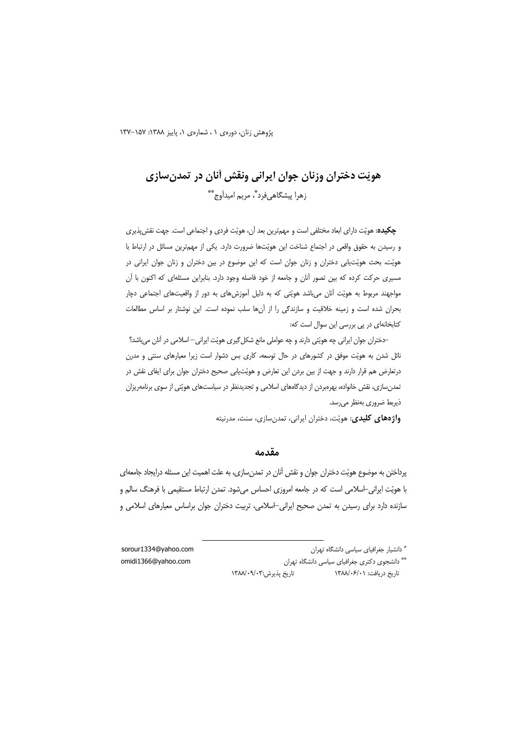پژوهش زنان، دورهی ۱، شمارهی ۱، پاییز ۱۳۸۸: ۱۵۷-۱۳۷

# هويّت دختران وزنان جوان ايراني ونقش أنان در تمدن سازي زهرا پیشگاهی فرد ؓ، مریم امیدآوج ٌ ؓ

**چکیده:** هویّت دارای ابعاد مختلفی است و مهم ترین بعد آن، هویّت فردی و اجتماعی است. جهت نقش پذیری و رسیدن به حقوق واقعی در اجتماع شناخت این هویّتها ضرورت دارد. یکی از مهمترین مسائل در ارتباط با هویّت، بحث هویّتیابی دختران و زنان جوان است که این موضوع در بین دختران و زنان جوان ایرانی در مسیری حرکت کرده که بین تصور آنان و جامعه از خود فاصله وجود دارد. بنابراین مسئلهای که اکنون با آن مواجهند مربوط به هویّت آنان می باشد هویّتی که به دلیل آموزشهای به دور از واقعیتهای اجتماعی دچار بحران شده است و زمینه خلاقیت و سازندگی را از آنها سلب نموده است. این نوشتار بر اساس مطالعات کتابخانهای در پی بررسی این سوال است که:

–دختران جوان ایرانی چه هویّتی دارند و چه عواملی مانع شکل گیری هویّت ایرانی– اسلامی در آنان میباشد؟ نائل شدن به هویّت موفق در کشورهای در حال توسعه، کاری بس دشوار است زیرا معیارهای سنتی و مدرن درتعارض هم قرار دارند و جهت از بین بردن این تعارض و هویّتیابی صحیح دختران جوان برای ایفای نقش در تمدن سازی، نقش خانواده، بهرهبردن از دیدگاههای اسلامی و تجدیدنظر در سیاستهای هویّتی از سوی برنامهریزان ذيربط ضروري بەنظر مىرسد.

واژههای کلیدی: هویّت، دختران ایرانی، تمدنسازی، سنت، مدرنیته

#### مقدمه

پرداختن به موضوع هويّت دختران جوان و نقش آنان در تمدنسازي، به علت اهميت اين مسئله درايجاد جامعهاي با هویّت ایرانی-اسلامی است که در جامعه امروزی احساس میشود. تمدن ارتباط مستقیمی با فرهنگ سالم و سازنده دارد برای رسیدن به تمدن صحیح ایرانی-اسلامی، تربیت دختران جوان براساس معیارهای اسلامی و

> \* دانشیار جغرافیای سیاسی دانشگاه تهران \*\* دانشجوی دکتری جغرافیای سیاسی دانشگاه تهران تاريخ پذيرش:۰۹/۰۹/۰۹/۱۳۸۸ تاريخ دريافت: ١٣٨٨/٠۶/٠١

sorour1334@yahoo.com omidi1366@yahoo.com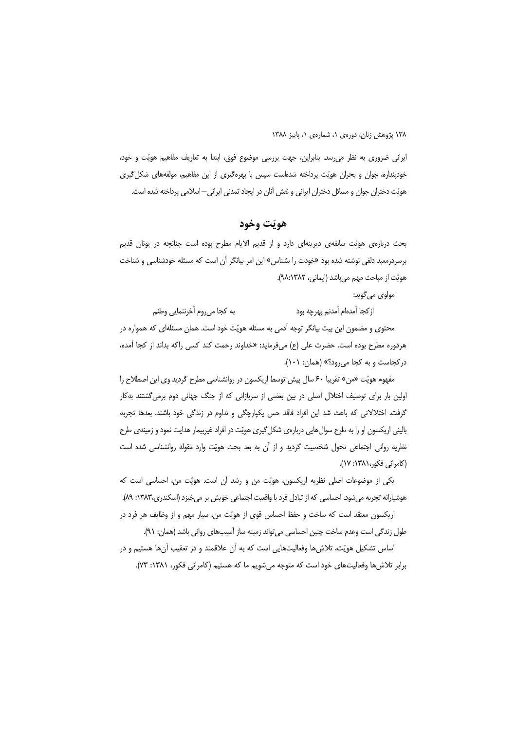ایرانی ضروری به نظر می رسد. بنابراین، جهت بررسی موضوع فوق، ابتدا به تعاریف مفاهیم هویّت و خود، خودپنداره، جوان و بحران هویّت پرداخته شدهاست سپس با بهرهگیری از این مفاهیم، مولفههای شکل گیری هويّت دختران جوان و مسائل دختران ايراني و نقش آنان در ايجاد تمدني ايراني—اسلامي پرداخته شده است.

#### هويّت وخود

بحث دربارهی هویّت سابقهی دیرینهای دارد و از قدیم الایام مطرح بوده است چنانچه در یونان قدیم برسردرمعبد دلفی نوشته شده بود «خودت را بشناس» این امر بیانگر آن است که مسئله خودشناسی و شناخت هويّت از مباحث مهم مي باشد (ايماني، ٩٨:١٣٨٢).

مولوی می گوید:

به كجا مىروم أخرننمايي وطنم از كجا آمدهام آمدنم بهرچه بود محتوی و مضمون این بیت بیانگر توجه آدمی به مسئله هویّت خود است. همان مسئلهای که همواره در هردوره مطرح بوده است. حضرت على (ع) مىفرمايد: «خداوند رحمت كند كسى راكه بداند از كجا آمده، در کجاست و به کجا می رود؟» (همان: ١٠١).

مفهوم هويّت «من» تقريبا ۶۰ سال پيش توسط اريكسون در روانشناسي مطرح گرديد وي اين اصطلاح را اولین بار برای توصیف اختلال اصلی در بین بعضی از سربازانی که از جنگ جهانی دوم برمی گشتند بهکار گرفت. اختلالاتی که باعث شد این افراد فاقد حس یکپارچگی و تداوم در زندگی خود باشند. بعدها تجربه بالینی اریکسون او را به طرح سوال هایی دربارهی شکل گیری هویّت در افراد غیربیمار هدایت نمود و زمینهی طرح نظریه روانی-اجتماعی تحول شخصیت گردید و از آن به بعد بحث هویّت وارد مقوله روانشناسی شده است (كامراني فكور،١٣٨١: ١٧).

یکی از موضوعات اصلی نظریه اریکسون، هویّت من و رشد آن است. هویّت من، احساسی است که هوشيارانه تجربه مي شود، احساسي كه از تبادل فرد با واقعيت اجتماعي خويش بر مي خيزد (اسكندري،١٣٨٣: ٨٩).

اریکسون معتقد است که ساخت و حفظ احساس قوی از هویّت من، سیار مهم و از وظایف هر فرد در طول زندگی است وعدم ساخت چنین احساسی می تواند زمینه ساز آسیبهای روانی باشد (همان: ۹۱).

اساس تشکیل هویّت، تلاش ها وفعالیتهایی است که به آن علاقمند و در تعقیب آنها هستیم و در برابر تلاش ها وفعالیتهای خود است که متوجه می شویم ما که هستیم (کامرانی فکور، ۱۳۸۱: ۷۳).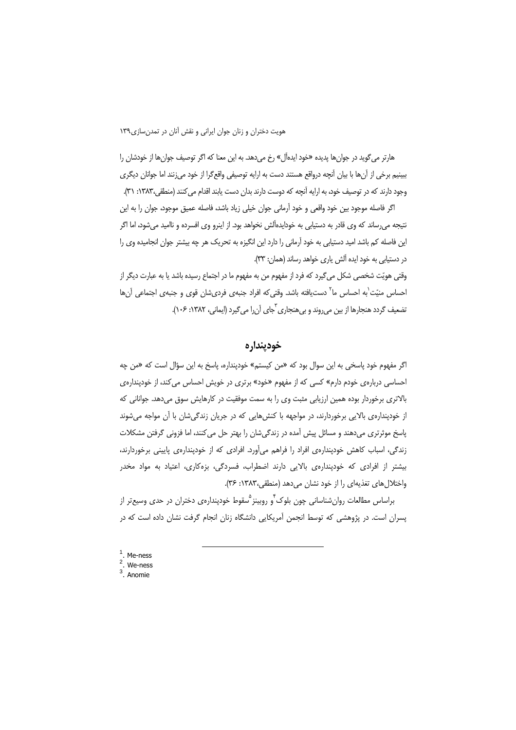هارتر می گوید در جوان ها پدیده «خود ایدهآل» رخ می دهد. به این معنا که اگر توصیف جوان ها از خودشان را ببينيم برخي از آنها با بيان آنچه درواقع هستند دست به ارايه توصيفي واقع گرا از خود مي;نند اما جوانان ديگري وجود دارند که در توصیف خود، به ارایه آنچه که دوست دارند بدان دست یابند اقدام می کنند (منطقی،۱۳۸۳: ۳۱).

اگر فاصله موجود بین خود واقعی و خود آرمانی جوان خیلی زیاد باشد، فاصله عمیق موجود، جوان را به این نتیجه می رساند که وی قادر به دستیابی به خودایدهآلش نخواهد بود. از اینرو وی افسرده و ناامید می شود، اما اگر این فاصله کم باشد امید دستیابی به خود آرمانی را دارد این انگیزه به تحریک هر چه بیشتر جوان انجامیده وی را در دستیابی به خود ایده آلش یاری خواهد رساند (همان: ۳۳).

وقتی هویّت شخصی شکل میگیرد که فرد از مفهوم من به مفهوم ما در اجتماع رسیده باشد یا به عبارت دیگر از احساس منیّت ٰبه احساس ما ؑ دستیافته باشد. وقتی که افراد جنبهی فردیشان قوی و جنبهی اجتماعی آنها تضعیف گردد هنجارها از بین می روند و بی هنجاری <sup>ت</sup>جای آن را می گیرد (ایمانی، ۱۳۸۲: ۱۰۶).

#### خودينداره

اگر مفهوم خود پاسخی به این سوال بود که «من کیستم» خودینداره، پاسخ به این سؤال است که «من چه احساسی دربارهی خودم دارم» کسی که از مفهوم «خود» برتری در خویش احساس می کند، از خودپنداره ی بالاتری برخوردار بوده همین ارزیابی مثبت وی را به سمت موفقیت در کارهایش سوق میدهد. جوانانی که از خودیندارهی بالایی برخوردارند، در مواجهه با کنش هایی که در جریان زندگی شان با آن مواجه می شوند یاسخ موثرتری میدهند و مسائل پیش آمده در زندگی شان را بهتر حل می کنند، اما فزونی گرفتن مشکلات زندگی، اسباب کاهش خودپندارهی افراد را فراهم میآورد. افرادی که از خودپندارهی پایینی برخوردارند، بیشتر از افرادی که خودپندارهی بالایی دارند اضطراب، فسردگی، بزهکاری، اعتیاد به مواد مخدر واختلال های تغذیهای را از خود نشان میدهد (منطقی،١٣٨٣: ٣۶).

براساس مطالعات روان شناسانی چون بلوک ٌو روبینز ٌسقوط خودپندارەی دختران در حدی وسیع تر از یسران است. در پژوهشی که توسط انجمن آمریکایی دانشگاه زنان انجام گرفت نشان داده است که در

- <sup>1</sup>. Me-ness<br><sup>2</sup>. We-ness<br><sup>3</sup>. Anomie
- 
-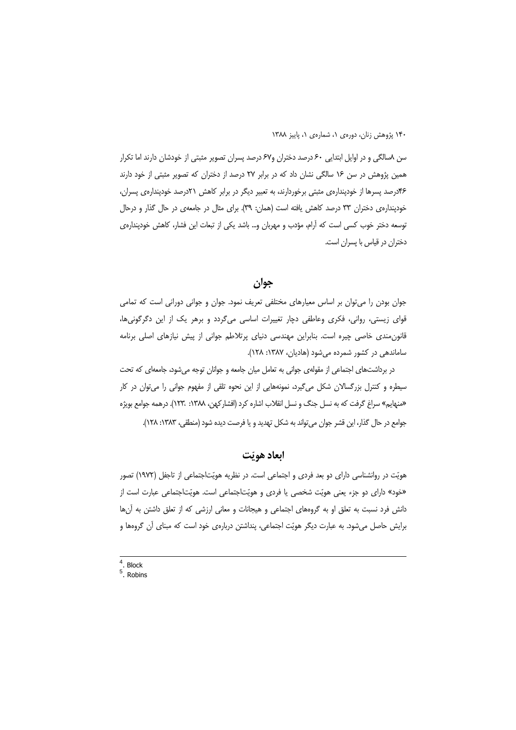سن ۸سالگی و در اوایل ابتدایی ۶۰ درصد دختران و۶۷ درصد پسران تصویر مثبتی از خودشان دارند اما تکرار همین پژوهش در سن ۱۶ سالگی نشان داد که در برابر ۲۷ درصد از دختران که تصویر مثبتی از خود دارند ۴۶درصد پسرها از خودینداره ی مثبتی برخوردارند، به تعبیر دیگر در برابر کاهش ۲۱درصد خودینداره ی پسران، خودیندارهی دختران ۳۳ درصد کاهش یافته است (همان: ۳۹). برای مثال در جامعهی در حال گذار و درحال توسعه دختر خوب کسی است که آرام، مؤدب و مهربان و… باشد یکی از تبعات این فشار، کاهش خودینداره ی دختران در قیاس با پسران است.

جوان

جوان بودن را می توان پر اساس معیارهای مختلفی تعریف نمود. جوان و جوانی دورانی است که تمامی قوای زیستی، روانی، فکری وعاطفی دچار تغییرات اساسی میگردد و برهر یک از این دگرگونیها، قانون مندی خاصی چیره است. بنابراین مهندسی دنیای پرتلاطم جوانی از پیش نیازهای اصلی برنامه ساماندهی در کشور شمرده می شود (هادیان، ۱۳۸۷: ۱۲۸).

در برداشتهای اجتماعی از مقولهی جوانی به تعامل میان جامعه و جوانان توجه می شود، جامعهای که تحت سیطره و کنترل بزرگسالان شکل میگیرد، نمونههایی از این نحوه تلقی از مفهوم جوانی را می توان در کار «منهایم» سراغ گرفت که به نسل جنگ و نسل انقلاب اشاره کرد (افشارکهن، ۱۳۸۸: ۱۲۳، ۱۶۳). درهمه جوامع بویژه جوامع در حال گذار، این قشر جوان می تواند به شکل تهدید و با فرصت دیده شود (منطقی، ۱۳۸۳: ۱۲۸).

#### ابعاد هويّت

هویّت در روانشناسی دارای دو بعد فردی و اجتماعی است. در نظریه هویّتاجتماعی از تاجفل (١٩٧٢) تصور «خود» دارای دو جزء یعنی هویّت شخصی یا فردی و هویّتاجتماعی است. هویّتاجتماعی عبارت است از دانش فرد نسبت به تعلق او به گروههای اجتماعی و هیجانات و معانی ارزشی که از تعلق داشتن به آنها برایش حاصل می شود. به عبارت دیگر هویّت اجتماعی، پنداشتن دربارهی خود است که مبنای آن گروهها و

 $4$  Block

 $5.$  Robins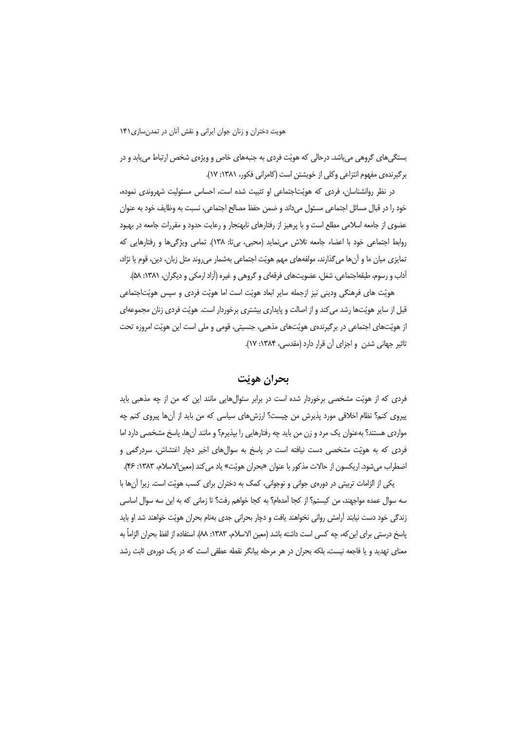بستگی های گروهی می باشد. درحالی که هویّت فردی به جنبههای خاص و ویژهی شخص ارتباط می یابد و در برگیرنده ی مفهوم انتزاعی وکلی از خویشتن است (کامرانی فکور، ۱۳۸۱: ۱۷).

در نظر روانشناسان، فردی که هویّتاجتماعی او تثبیت شده است، احساس مسئولیت شهروندی نموده، خود را در قبال مسائل اجتماعی مسئول می داند و ضمن حفظ مصالح اجتماعی، نسبت به وظایف خود به عنوان عضوی از جامعه اسلامی مطلع است و با پرهیز از رفتارهای نابهنجار و رعایت حدود و مقررات جامعه در بهبود روابط اجتماعي خود با اعضاء جامعه تلاش مى نمايد (محبى، بى تا: ١٣٨). تمامى ويژگى ها و رفتارهايى كه تمایزی میان ما و آنها میگذارند، مولفههای مهم هویّت اجتماعی بهشمار میروند مثل زبان، دین، قوم یا نژاد، آداب و رسوم، طبقهاجتماعی، شغل، عضویتهای فرقهای و گروهی و غیره (آزاد ارمکی و دیگران، ۱۳۸۱: ۵۸).

هويّت هاي فرهنگي وديني نيز ازجمله ساير ابعاد هويّت است اما هويّت فردي و سپس هويّتاجتماعي قبل از سایر هویّتها رشد می کند و از اصالت و پایداری بیشتری برخوردار است. هویّت فردی زنان مجموعهای از هویّتهای اجتماعی در برگیرندهی هویّتهای مذهبی، جنسیتی، قومی و ملی است این هویّت امروزه تحت تاثیر جهانی شدن و اجزای آن قرار دارد (مقدسی، ۱۳۸۴: ۱۷).

### يحران هوتت

فردی که از هویّت مشخصی برخوردار شده است در برابر سئوالهایی مانند این که من از چه مذهبی باید پیروی کنم؟ نظام اخلاقی مورد پذیرش من چیست؟ ارزش های سیاسی که من باید از آنها پیروی کنم چه مواردی هستند؟ بهعنوان یک مرد و زن من باید چه رفتارهایی را بیذیرم؟ و مانند آنها، پاسخ مشخصی دارد اما فردی که به هویّت مشخصی دست نیافته است در پاسخ به سوالهای اخیر دچار اغتشاش، سردرگمی و اضطراب مي شود. اريكسون از حالات مذكور با عنوان «بحران هويّت» ياد مي كند (معين|لاسلام، ١٣٨٣: ۴۶).

یکی از الزامات تربیتی در دورهی جوانی و نوجوانی، کمک به دختران برای کسب هویّت است. زیرا آنها با سه سوال عمده مواجهند، من كيستم؟ از كجا آمدهام؟ به كجا خواهم رفت؟ تا زماني كه به اين سه سوال اساسي زندگی خود دست نیابند آرامش روانی نخواهند یافت و دچار بحرانی جدی بهنام بحران هویّت خواهند شد او باید ياسخ درستي براي اين كه، چه كسي است داشته باشد (معين الاسلام، ١٣٨٣: ٨٨). استفاده از لفظ بحران الزاماً به معنای تهدید و یا فاجعه نیست، بلکه بحران در هر مرحله بیانگر نقطه عطفی است که در یک دورهی ثابت رشد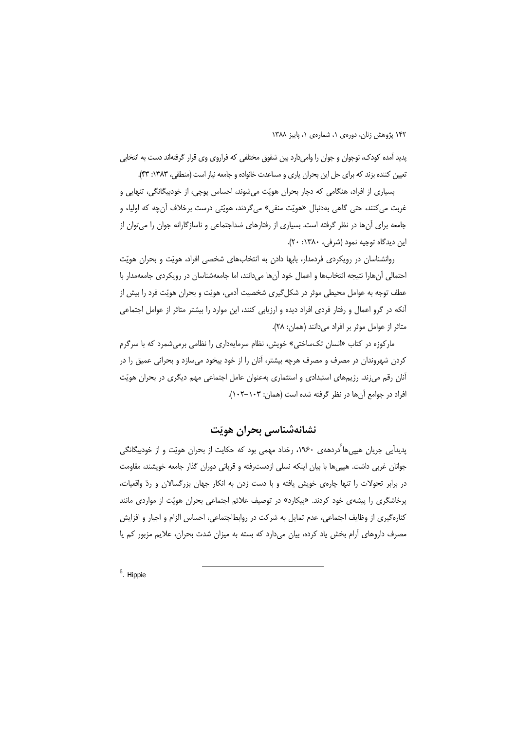یدید آمده کودک، نوجوان و جوان را وامیدارد بین شقوق مختلفی که فراروی وی قرار گرفتهاند دست به انتخابی تعیین کننده بزند که برای حل این بحران یاری و مساعدت خانواده و جامعه نیاز است (منطقی، ۱۳۸۳: ۴۳).

بسياري از افراد، هنگامي كه دچار بحران هويّت مي شوند، احساس پوچي، از خودبيگانگي، تنهايي و غربت مي كنند، حتى گاهي بهدنبال «هويّت منفي» مي¢ردند، هويّتي درست برخلاف آنچه كه اولياء و جامعه برای آنها در نظر گرفته است. بسیاری از رفتارهای ضداجتماعی و ناسازگارانه جوان را می توان از این دیدگاه توجیه نمود (شرفی، ۱۳۸۰: ۲۰).

روانشناسان در رویکردی فردمدار، بابها دادن به انتخابهای شخصی افراد، هویّت و بحران هویّت احتمالی أنهارا نتیجه انتخابها و اعمال خود آنها میدانند، اما جامعهشناسان در رویکردی جامعهمدار با عطف توجه به عوامل محیطی موثر در شکل گیری شخصیت آدمی، هویّت و بحران هویّت فرد را بیش از آنکه در گرو اعمال و رفتار فردی افراد دیده و ارزیابی کنند، این موارد را بیشتر متاثر از عوامل اجتماعی متاثر از عوامل موثر بر افراد می دانند (همان: ٢٨).

مارکوزه در کتاب «انسان تکساختی» خویش، نظام سرمایهداری را نظامی برمیشمرد که با سرگرم کردن شهروندان در مصرف و مصرف هرچه بیشتر، آنان را از خود بیخود میسازد و بحرانی عمیق را در آنان رقم می;ند. رژیمهای استبدادی و استثماری بهعنوان عامل اجتماعی مهم دیگری در بحران هویّت افراد در جوامع آن ها در نظر گرفته شده است (همان: ۱۰۳–۱۰۲).

### نشانەشناسى بحران ھوپّت

پدیدآیی جریان هیپیها ُدردههی ۱۹۶۰، رخداد مهمی بود که حکایت از بحران هویّت و از خودبیگانگی جوانان غربی داشت. هیپیها با بیان اینکه نسلی ازدسترفته و قربانی دوران گذار جامعه خویشند، مقاومت در برابر تحولات را تنها چارەی خویش یافته و با دست زدن به انکار جهان بزرگسالان و ردّ واقعیات، پرخاشگری را پیشهی خود کردند. «پیکارد» در توصیف علائم اجتماعی بحران هویّت از مواردی مانند کنارهگیری از وظایف اجتماعی، عدم تمایل به شرکت در روابطاجتماعی، احساس الزام و اجبار و افزایش مصرف داروهای آرام بخش یاد کرده، بیان میدارد که بسته به میزان شدت بحران، علایم مزبور کم یا

 $6$ . Hippie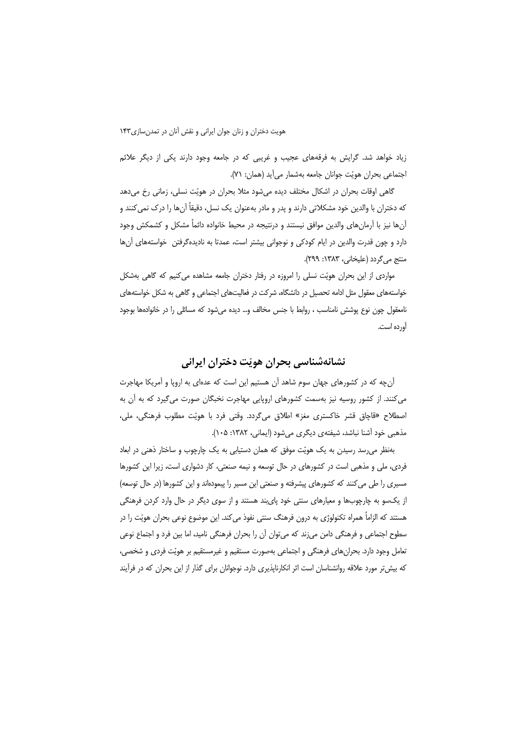زیاد خواهد شد. گرایش به فرقههای عجیب و غریبی که در جامعه وجود دارند یکی از دیگر علائم اجتماعي بحران هويّت جوانان جامعه بهشمار مي آيد (همان: ٧١).

گاهی اوقات بحران در اشکال مختلف دیده می شود مثلا بحران در هویّت نسلی، زمانی رخ می دهد که دختران با والدین خود مشکلاتی دارند و پدر و مادر بهعنوان یک نسل، دقیقاً آنها را درک نمی کنند و آنها نیز با آرمانهای والدین موافق نیستند و درنتیجه در محیط خانواده دائماً مشکل و کشمکش وجود دارد و چون قدرت والدین در ایام کودکی و نوجوانی بیشتر است، عمدتا به نادیدهگرفتن ِ خواستههای آنها منتج می گردد (علیخانی، ۱۳۸۳: ۲۹۹).

مواردی از این بحران هویّت نسلی را امروزه در رفتار دختران جامعه مشاهده می کنیم که گاهی بهشکل خواستههای معقول مثل ادامه تحصیل در دانشگاه، شرکت در فعالیتهای اجتماعی و گاهی به شکل خواستههای نامعقول چون نوع پوشش نامناسب ، روابط با جنس مخالف و… دیده می شود که مسائلی را در خانوادهها بوجود آورده است.

### نشانهشناسي بحران هويّت دختران ايراني

آنچه که در کشورهای جهان سوم شاهد آن هستیم این است که عدمای به اروپا و آمریکا مهاجرت می کنند. از کشور روسیه نیز بهسمت کشورهای اروپایی مهاجرت نخبگان صورت میگیرد که به آن به اصطلاح «قاچاق قشر خاكسترى مغز» اطلاق مى گردد. وقتى فرد با هويّت مطلوب فرهنگى، ملى، مذهبي خود آشنا نباشد، شيفتهي ديگري مي شود (ايماني، ١٣٨٢: ١٠٥).

بهنظر میرسد رسیدن به یک هویّت موفق که همان دستیابی به یک چارچوب و ساختار ذهنی در ابعاد فردی، ملی و مذهبی است در کشورهای در حال توسعه و نیمه صنعتی، کار دشواری است، زیرا این کشورها مسیری را طی می کنند که کشورهای پیشرفته و صنعتی این مسیر را پیمودهاند و این کشورها (در حال توسعه) از یکسو به چارچوبها و معیارهای سنتی خود پایبند هستند و از سوی دیگر در حال وارد کردن فرهنگی هستند که الزاماً همراه تکنولوژی به درون فرهنگ سنتی نفوذ میکند. این موضوع نوعی بحران هویّت را در سطوح اجتماعی و فرهنگی دامن میزند که میتوان آن را بحران فرهنگی نامید، اما بین فرد و اجتماع نوعی تعامل وجود دارد. بحرانهای فرهنگی و اجتماعی بهصورت مستقیم و غیرمستقیم بر هویّت فردی و شخصی، که بیش تر مورد علاقه روانشناسان است اثر انکارناپذیری دارد. نوجوانان برای گذار از این بحران که در فرآیند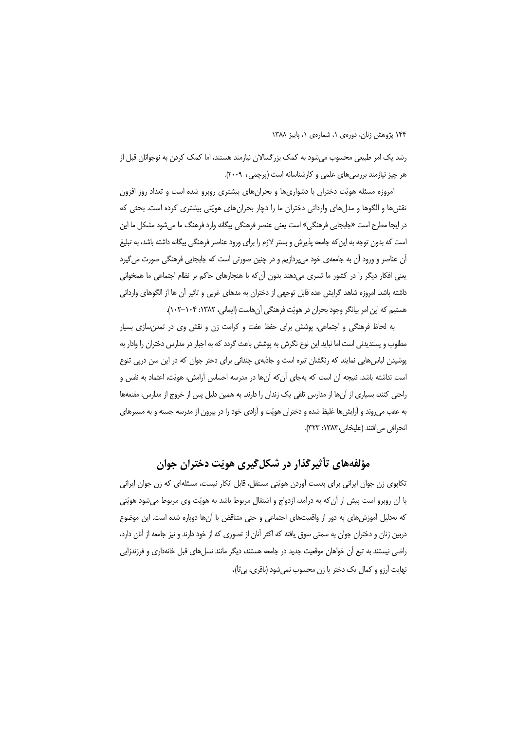رشد یک امر طبیعی محسوب می شود به کمک بزرگسالان نیازمند هستند، اما کمک کردن به نوجوانان قبل از هر چیز نیازمند بررسی های علمی و کارشناسانه است (پرچمی، ۲۰۰۹).

امروزه مسئله هویّت دختران با دشواریها و بحرانهای بیشتری روبرو شده است و تعداد روز افزون نقشءا و الگوها و مدلهای وارداتی دختران ما را دچار بحرانهای هویّتی بیشتری کرده است. بحثی که در ایجا مطرح است «جابجایی فرهنگی» است یعنی عنصر فرهنگی بیگانه وارد فرهنگ ما می شود مشکل ما این است که بدون توجه به این که جامعه پذیرش و بستر لازم را برای ورود عناصر فرهنگی بیگانه داشته باشد، به تبلیغ آن عناصر و ورود آن به جامعهی خود می پردازیم و در چنین صورتی است که جابجایی فرهنگی صورت می گیرد یعنی افکار دیگر را در کشور ما تسری میدهند بدون آن که با هنجارهای حاکم بر نظام اجتماعی ما همخوانی داشته باشد. امروزه شاهد گرایش عده قابل توجهی از دختران به مدهای غربی و تاثیر آن ها از الگوهای وارداتی هستیم که این امر بیانگر وجود بحران در هویّت فرهنگی آنهاست (ایمانی، ۱۳۸۲: ۱۰۴–۱۰۲).

به لحاظ فرهنگی و اجتماعی، پوشش برای حفظ عفت و کرامت زن و نقش وی در تمدن سازی بسیار مطلوب و پسندیدنی است اما نباید این نوع نگرش به پوشش باعث گردد که به اجبار در مدارس دختران را وادار به یوشیدن لباس هایی نمایند که رنگشان تیره است و جاذبهی چندانی برای دختر جوان که در این سن دریی تنوع است نداشته باشد. نتیجه آن است که بهجای آن که آنها در مدرسه احساس آرامش، هویّت، اعتماد به نفس و راحتی کنند، بسیاری از آنها از مدارس تلقی یک زندان را دارند. به همین دلیل پس از خروج از مدارس، مقنعهها به عقب می روند و آرایش ها غلیظ شده و دختران هویّت و آزادی خود را در بیرون از مدرسه جسته و به مسیرهای انحرافي مي افتند (عليخاني،١٣٨٣: ٣٢٣).

### مؤلفههای تأثیرگذار در شکلگیری هویّت دختران جوان

تکاپوی زن جوان ایرانی برای بدست آوردن هویّتی مستقل، قابل انکار نیست، مسئلهای که زن جوان ایرانی با آن روبرو است پیش از آن که به درآمد، ازدواج و اشتغال مربوط باشد به هویّت وی مربوط میشود هویّتی که بهدلیل آموزش های به دور از واقعیتهای اجتماعی و حتی متناقض با آنها دویاره شده است. این موضوع دربین زنان و دختران جوان به سمتی سوق یافته که اکثر آنان از تصوری که از خود دارند و نیز جامعه از آنان دارد، راضی نیستند به تبع آن خواهان موقعیت جدید در جامعه هستند، دیگر مانند نسلهای قبل خانهداری و فرزندزایی نهايت آرزو و كمال يک دختر يا زن محسوب نمي شود (باقرى، بي تا).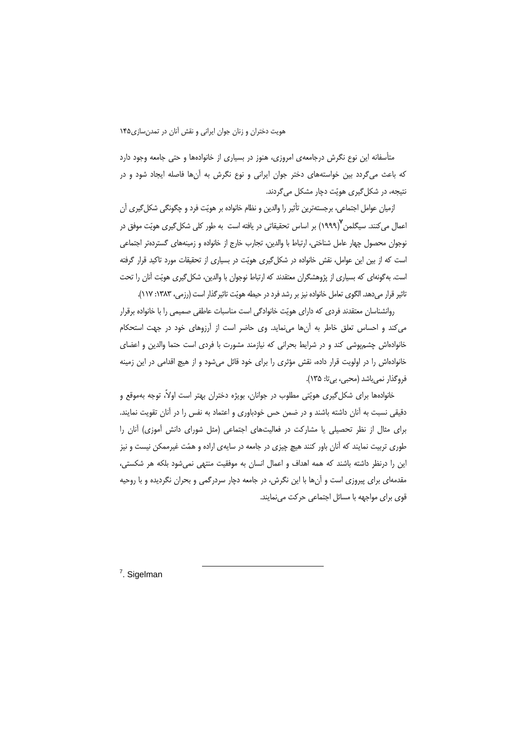متأسفانه این نوع نگرش درجامعهی امروزی، هنوز در بسیاری از خانوادهها و حتی جامعه وجود دارد که باعث میگردد بین خواستههای دختر جوان ایرانی و نوع نگرش به آنها فاصله ایجاد شود و در نتیجه، در شکل گیری هویّت دچار مشکل می گردند.

ازمیان عوامل اجتماعی، برجستهترین تأثیر را والدین و نظام خانواده بر هویّت فرد و چگونگی شکل گیری آن اعمال می کنند. سیگلمن ۱۹۹۹/<sup>۷</sup> بر اساس تحقیقاتی در یافته است به طور کلی شکل *گ*یری هویّت موفق در نوجوان محصول چهار عامل شناختی، ارتباط با والدین، تجارب خارج از خانواده و زمینههای گستردهتر اجتماعی است که از بین این عوامل، نقش خانواده در شکل گیری هویّت در بسیاری از تحقیقات مورد تاکید قرار گرفته است. به گونهای که بسیاری از پژوهشگران معتقدند که ارتباط نوجوان با والدین، شکل گیری هویّت آنان را تحت تاثیر قرار می دهد. الگوی تعامل خانواده نیز بر رشد فرد در حیطه هویّت تاثیر گذار است (رزمی، ۱۳۸۳: ۱۱۷).

روانشناسان معتقدند فردی که دارای هویّت خانوادگی است مناسبات عاطفی صمیمی را با خانواده برقرار می کند و احساس تعلق خاطر به آنها می نماید. وی حاضر است از آرزوهای خود در جهت استحکام خانوادهاش چشمپوشی کند و در شرایط بحرانی که نیازمند مشورت با فردی است حتما والدین و اعضای خانوادهاش را در اولویت قرار داده، نقش مؤثری را برای خود قائل میشود و از هیچ اقدامی در این زمینه فروگذار نمی باشد (محبی، بی تا: ۱۳۵).

خانوادهها برای شکل گیری هویّتی مطلوب در جوانان، بویژه دختران بهتر است اولاً، توجه بهموقع و دقیقی نسبت به آنان داشته باشند و در ضمن حس خودباوری و اعتماد به نفس را در آنان تقویت نمایند. برای مثال از نظر تحصیلی یا مشارکت در فعالیتهای اجتماعی (مثل شورای دانش آموزی) آنان را طوری تربیت نمایند که آنان باور کنند هیچ چیزی در جامعه در سایهی اراده و همّت غیرممکن نیست و نیز این را درنظر داشته باشند که همه اهداف و اعمال انسان به موفقیت منتهی نمی شود بلکه هر شکستی، مقدمهای برای پیروزی است و آنها با این نگرش، در جامعه دچار سردرگمی و بحران نگردیده و با روحیه قوى براى مواجهه با مسائل اجتماعى حركت مى نمايند.

 $7.$  Sigelman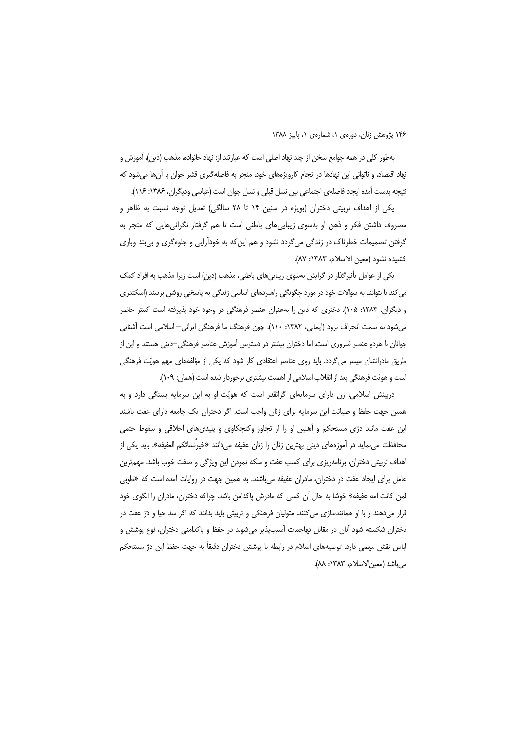بهطور كلي در همه جوامع سخن از چند نهاد اصلي است كه عبارتند از: نهاد خانواده، مذهب (دين)، آموزش و نهاد اقتصاد، و ناتوانی این نهادها در انجام کارویژههای خود، منجر به فاصلهگیری قشر جوان با آنها میشود که نتيجه بدست آمده ايجاد فاصلهى اجتماعي بين نسل قبلي و نسل جوان است (عباسي وديگران، ۱۳۸۶: ۱۱۶).

یکی از اهداف تربیتی دختران (بویژه در سنین ۱۴ تا ۲۸ سالگی) تعدیل توجه نسبت به ظاهر و مصروف داشتن فکر و ذهن او بهسوی زیبایی های باطنی است تا هم گرفتار نگرانی هایی که منجر به گرفتن تصمیمات خطرناک در زندگی می گردد نشود و هم این که به خودآرایی و جلوه گری و بی بند وباری كشيده نشود (معين الاسلام، ١٣٨٣: ٨٧).

یکی از عوامل تأثیرگذار در گرایش بهسوی زیباییهای باطنی، مذهب (دین) است زیرا مذهب به افراد کمک می کند تا بتوانند به سوالات خود در مورد چگونگی راهبردهای اساسی زندگی به پاسخی روشن برسند (اسکندری و دیگران، ۱۳۸۳: ۱۰۵). دختری که دین را بهعنوان عنصر فرهنگی در وجود خود پذیرفته است کمتر حاضر میشود به سمت انحراف برود (ایمانی، ۱۳۸۲: ۱۱۰). چون فرهنگ ما فرهنگی ایرانی—اسلامی است آشنایی جوانان با هردو عنصر ضروری است. اما دختران بیشتر در دسترس آموزش عناصر فرهنگی—دینی هستند و این از طریق مادرانشان میسر میگردد. باید روی عناصر اعتقادی کار شود که یکی از مؤلفههای مهم هویّت فرهنگی است و هویّت فرهنگی بعد از انقلاب اسلامی از اهمیت بیشتری برخوردار شده است (همان: ۱۰۹).

دربینش اسلامی، زن دارای سرمایهای گرانقدر است که هویّت او به این سرمایه بستگی دارد و به همین جهت حفظ و صیانت این سرمایه برای زنان واجب است. اگر دختران یک جامعه دارای عفت باشند این عفت مانند دژی مستحکم و آهنین او را از تجاوز وکنجکاوی و پلیدیهای اخلاقی و سقوط حتمی محافظت مینماید در آموزههای دینی بهترین زنان را زنان عفیفه میدانند «خیرنُسائکم العفیفه». باید یکی از اهداف تربیتی دختران، برنامهریزی برای کسب عفت و ملکه نمودن این ویژگی و صفت خوب باشد. مهمترین عامل برای ایجاد عفت در دختران، مادران عفیفه می باشند. به همین جهت در روایات آمده است که «طوبی لمن كانت امه عفيفه» خوشا به حال آن كسى كه مادرش پاكدامن باشد. چراكه دختران، مادران را الگوى خود قرار میدهند و با او همانندسازی می کنند. متولیان فرهنگی و تربیتی باید بدانند که اگر سد حیا و دژ عفت در دختران شکسته شود آنان در مقابل تهاجمات آسیبپذیر میشوند در حفظ و پاکدامنی دختران، نوع پوشش و لباس نقش مهمی دارد. توصیههای اسلام در رابطه با پوشش دختران دقیقاً به جهت حفظ این دژ مستحکم مي باشد (معين الاسلام، ١٣٨٣: ٨٨).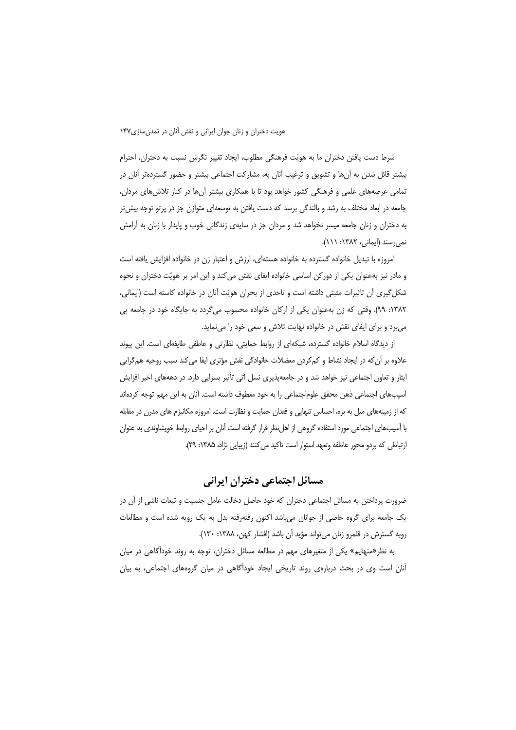شرط دست یافتن دختران ما به هویّت فرهنگی مطلوب، ایجاد تغییر نگرش نسبت به دختران، احترام بیشتر قائل شدن به آنها و تشویق و ترغیب آنان به، مشارکت اجتماعی بیشتر و حضور گستردهتر آنان در تمامی عرصههای علمی و فرهنگی کشور خواهد بود تا با همکاری بیشتر آنها در کنار تلاش های مردان، جامعه در ابعاد مختلف به رشد و بالندگی برسد که دست یافتن به توسعهای متوازن جز در پرتو توجه بیش تر به دختران و زنان جامعه میسر نخواهد شد و مردان جز در سایهی زندگانی خوب و پایدار با زنان به آرامش نمی رسند (ایمانی، ۱۳۸۲: ۱۱۱).

امروزه با تبدیل خانواده گسترده به خانواده هستهای، ارزش و اعتبار زن در خانواده افزایش یافته است و مادر نیز بهعنوان یکی از دورکن اساسی خانواده ایفای نقش می کند و این امر بر هویّت دختران و نحوه شکل گیری آن تاثیرات مثبتی داشته است و تاحدی از بحران هویّت آنان در خانواده کاسته است (ایمانی، ۱۳۸۲: ۹۹). وقتی که زن بهعنوان یکی از ارکان خانواده محسوب میگردد به جایگاه خود در جامعه یی میبرد و برای ایفای نقش در خانواده نهایت تلاش و سعی خود را مینماید.

از دیدگاه اسلام خانواده گسترده، شبکهای از روابط حمایتی، نظارتی و عاطفی طایفهای است. این پیوند علاوه بر آن که در ایجاد نشاط و کم کردن معضلات خانوادگی نقش مؤثری ایفا می کند سبب روحیه هم گرایی ایثار و تعاون اجتماعی نیز خواهد شد و در جامعهپذیری نسل آتی تأثیر بسزایی دارد. در دهههای اخیر افزایش آسیبهای اجتماعی ذهن محقق علوماجتماعی را به خود معطوف داشته است. آنان به این مهم توجه کردهاند که از زمینههای میل به بزه، احساس تنهایی و فقدان حمایت و نظارت است. امروزه مکانیزم های مدرن در مقابله با آسیبهای اجتماعی مورد استفاده گروهی از اهل نظر قرار گرفته است آنان بر احیای روابط خویشاوندی به عنوان ارتباطي كه بردو محور عاطفه وتعهد استوار است تاكيد مي كنند (زيبايي نژاد، ۱۳۸۵: ۲۹).

### مسائل اجتماعي دختران ايراني

ضرورت پرداختن به مسائل اجتماعی دختران که خود حاصل دخالت عامل جنسیت و تبعات ناشی از آن در یک جامعه برای گروه خاصی از جوانان میباشد اکنون رفتهرفته بدل به یک رویه شده است و مطالعات روبه گسترش در قلمرو زنان می تواند مؤید آن باشد (افشار کهن، ١٣٨٨: ١٣٠).

به نظر«منهایم» یکی از متغیرهای مهم در مطالعه مسائل دختران، توجه به روند خودآگاهی در میان آنان است وی در بحث دربارهی روند تاریخی ایجاد خودآگاهی در میان گروههای اجتماعی، به بیان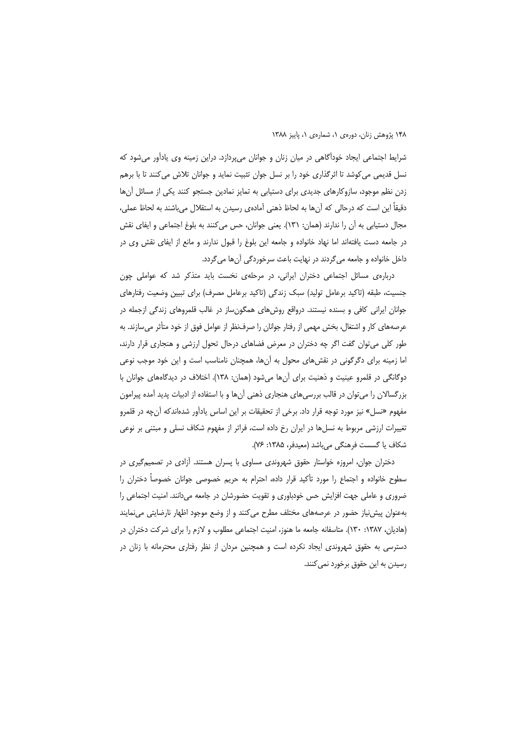شرایط اجتماعی ایجاد خودآگاهی در میان زنان و جوانان می پردازد. دراین زمینه وی یادآور می شود که نسل قدیمی می کوشد تا اثرگذاری خود را بر نسل جوان تثبیت نماید و جوانان تلاش می کنند تا با برهم زدن نظم موجود، سازوکارهای جدیدی برای دستیابی به تمایز نمادین جستجو کنند یکی از مسائل آنها دقیقاً این است که درحالی که آنها به لحاظ ذهنی آمادهی رسیدن به استقلال میباشند به لحاظ عملی، مجال دستیابی به آن را ندارند (همان: ۱۳۱). یعنی جوانان، حس می کنند به بلوغ اجتماعی و ایفای نقش در جامعه دست یافتهاند اما نهاد خانواده و جامعه این بلوغ را قبول ندارند و مانع از ایفای نقش وی در داخل خانواده و جامعه می گردند در نهایت باعث سرخوردگی آنها می گردد.

دربارهی مسائل اجتماعی دختران ایرانی، در مرحلهی نخست باید متذکر شد که عواملی چون جنسیت، طبقه (تاکید برعامل تولید) سبک زندگی (تاکید برعامل مصرف) برای تبیین وضعیت رفتارهای جوانان ایرانی کافی و بسنده نیستند. درواقع روش۵های همگون،ساز در غالب قلمروهای زندگی ازجمله در عرصههای کار و اشتغال، بخش مهمی از رفتار جوانان را صرفنظر از عوامل فوق از خود متأثر میسازند. به طور کلی می توان گفت اگر چه دختران در معرض فضاهای درحال تحول ارزشی و هنجاری قرار دارند، اما زمینه برای دگرگونی در نقشهای محول به آنها، همچنان نامناسب است و این خود موجب نوعی دوگانگی در قلمرو عینیت و ذهنیت برای آنها میشود (همان: ۱۳۸). اختلاف در دیدگاههای جوانان با بزرگسالان را می توان در قالب بررسی های هنجاری ذهنی آن ها و با استفاده از ادبیات پدید آمده پیرامون مفهوم «نسل» نیز مورد توجه قرار داد. برخی از تحقیقات بر این اساس یادآور شدهاندکه آنچه در قلمرو تغییرات ارزشی مربوط به نسلها در ایران رخ داده است، فراتر از مفهوم شکاف نسلی و مبتنی بر نوعی شكاف يا گسست فرهنگي ميباشد (معيدفر، ۱۳۸۵: ۷۶).

دختران جوان، امروزه خواستار حقوق شهروندی مساوی با پسران هستند. آزادی در تصمیم گیری در سطوح خانواده و اجتماع را مورد تأكيد قرار داده، احترام به حريم خصوصي جوانان خصوصاً دختران را ضروری و عاملی جهت افزایش حس خودباوری و تقویت حضورشان در جامعه میدانند. امنیت اجتماعی را بهعنوان پیشiیاز حضور در عرصههای مختلف مطرح میکنند و از وضع موجود اظهار نارضایتی میفمایند (هادیان، ۱۳۸۷: ۱۳۰). متاسفانه جامعه ما هنوز، امنیت اجتماعی مطلوب و لازم را برای شرکت دختران در دسترسی به حقوق شهروندی ایجاد نکرده است و همچنین مردان از نظر رفتاری محترمانه با زنان در رسیدن به این حقوق برخورد نمی کنند.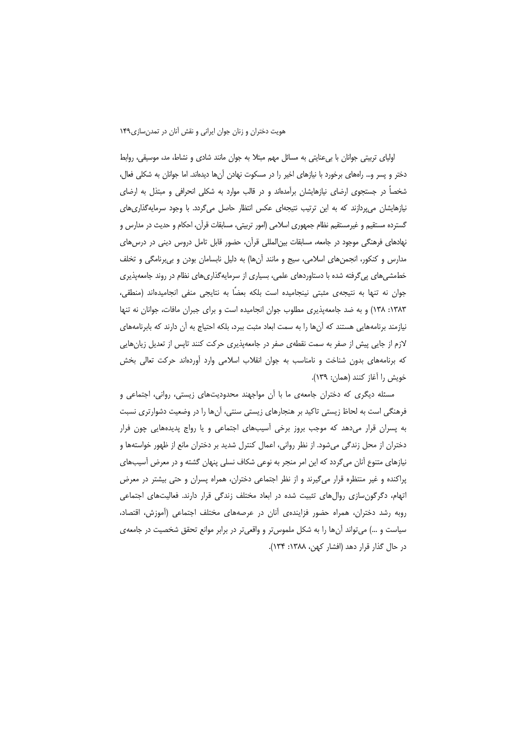اولیای تربیتی جوانان با بیءعنایتی به مسائل مهم مبتلا به جوان مانند شادی و نشاط، مد، موسیقی، روابط دختر و پسر و… راههای برخورد با نیازهای اخیر را در مسکوت نهادن آنها دیدهاند. اما جوانان به شکلی فعال، شخصاً در جستجوی ارضای نیازهایشان برآمدهاند و در قالب موارد به شکلی انحرافی و مبتذل به ارضای نیازهایشان میپردازند که به این ترتیب نتیجهای عکس انتظار حاصل میگردد. با وجود سرمایهگذاری های گسترده مستقیم و غیرمستقیم نظام جمهوری اسلامی (امور تربیتی، مسابقات قرآن، احکام و حدیث در مدارس و نهادهای فرهنگی موجود در جامعه، مسابقات بین|لمللی قرآن، حضور قابل تامل دروس دینی در درس های مدارس و کنکور، انجمنهای اسلامی، سیج و مانند آنها) به دلیل نابسامان بودن و بی برنامگی و تخلف خطمشیهای پی گرفته شده با دستاوردهای علمی، بسیاری از سرمایهگذاریهای نظام در روند جامعهپذیری جوان نه تنها به نتیجهی مثبتی نینجامیده است بلکه بعضًا به نتایجی منفی انجامیدهاند (منطقی، ١٣٨٣: ١٣٨) و به ضد جامعه پذيري مطلوب جوان انجاميده است و براي جبران مافات، جوانان نه تنها نیازمند برنامههایی هستند که آنها را به سمت ابعاد مثبت ببرد، بلکه احتیاج به آن دارند که بابرنامههای لازم از جایی پیش از صفر به سمت نقطهی صفر در جامعهپذیری حرکت کنند تاپس از تعدیل زیانهایی که برنامههای بدون شناخت و نامناسب به جوان انقلاب اسلامی وارد آوردهاند حرکت تعالی بخش خويش را آغاز كنند (همان: ١٣٩).

مسئله دیگری که دختران جامعهی ما با آن مواجهند محدودیتهای زیستی، روانی، اجتماعی و فرهنگی است به لحاظ زیستی تاکید بر هنجارهای زیستی سنتی، اَنها را در وضعیت دشوارتری نسبت به پسران قرار میدهد که موجب بروز برخی آسیبهای اجتماعی و یا رواج پدیدههایی چون فرار دختران از محل زندگی میشود. از نظر روانی، اعمال کنترل شدید بر دختران مانع از ظهور خواستهها و نیازهای متنوع آنان میگردد که این امر منجر به نوعی شکاف نسلی پنهان گشته و در معرض آسیبهای پراکنده و غیر منتظره قرار میگیرند و از نظر اجتماعی دختران، همراه پسران و حتی بیشتر در معرض اتهام، دگرگونسازی روالهای تثبیت شده در ابعاد مختلف زندگی قرار دارند. فعالیتهای اجتماعی روبه رشد دختران، همراه حضور فزایندهی آنان در عرصههای مختلف اجتماعی (آموزش، اقتصاد، سیاست و …) میتواند آنها را به شکل ملموستر و واقعیتر در برابر موانع تحقق شخصیت در جامعه ی در حال گذار قرار دهد (افشار کهن، ۱۳۸۸: ۱۳۴).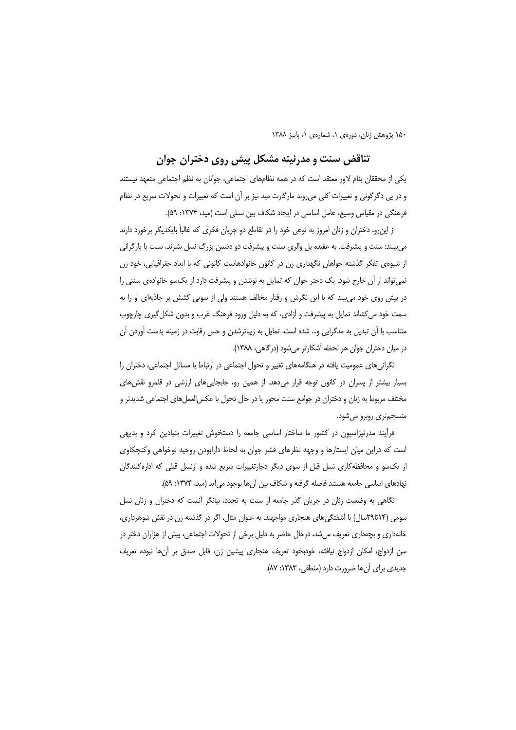#### تناقض سنت و مدرنیته مشکل پیش روی دختران جوان

یکی از محققان بنام لاور معتقد است که در همه نظامهای اجتماعی، جوانان به نظم اجتماعی متعهد نیستند و در یی دگرگونی و تغییرات کلی می روند مارگارت مید نیز بر آن است که تغییرات و تحولات سریع در نظام فرهنگی در مقیاس وسیع، عامل اساسی در ایجاد شکاف بین نسلی است (مید، ۱۳۷۴: ۵۹).

از اینرو، دختران و زنان امروز به نوعی خود را در تقاطع دو جریان فکری که غالباً بایکدیگر برخورد دارند می بینند: سنت و پیشرفت. به عقیده پل والری سنت و پیشرفت دو دشمن بزرگ نسل بشرند، سنت با بارگرانی از شیوه ی تفکر گذشته خواهان نگهداری زن در کانون خانوادهاست کانونی که با ابعاد جغرافیایی، خود زن نمی تواند از آن خارج شود. یک دختر جوان که تمایل به نوشدن و پیشرفت دارد از یکسو خانوادهی سنتی را در پیش روی خود می بیند که با این نگرش و رفتار مخالف هستند ولی از سویی کشش پر جاذبهای او را به سمت خود می کشاند تمایل به پیشرفت و آزادی، که به دلیل ورود فرهنگ غرب و بدون شکل گیری چارچوب متناسب با آن تبدیل به مدگرایی و… شده است. تمایل به زیباترشدن و حس رقابت در زمینه بدست آوردن آن در میان دختران جوان هر لحظه آشکارتر می شود (درگاهی، ۱۳۸۸).

نگرانی های عمومیت یافته در هنگامههای تغییر و تحول اجتماعی در ارتباط با مسائل اجتماعی، دختران را بسیار بیشتر از پسران در کانون توجه قرار میدهد. از همین رو، جابجاییهای ارزشی در قلمرو نقشهای مختلف مربوط به زنان و دختران در جوامع سنت محور یا در حال تحول با عکس|لعملهای اجتماعی شدیدتر و منسجمتري روبرو مي شود.

فرآیند مدرنیزاسیون در کشور ما ساختار اساسی جامعه را دستخوش تغییرات بنیادین کرد و بدیهی است که دراین میان ایستارها و وجهه نظرهای قشر جوان به لحاظ دارابودن روحیه نوخواهی وکنجکاوی از یکسو و محافظه کاری نسل قبل از سوی دیگر دچارتغییرات سریع شده و ازنسل قبلی که ادارهکنندگان نهادهای اساسی جامعه هستند فاصله گرفته و شکاف بین آنها بوجود میآید (مید، ۱۳۷۴: ۵۹).

نگاهی به وضعیت زنان در جریان گذر جامعه از سنت به تجدد، بیانگر آنست که دختران و زنان نسل سومی (۲۹تا۲۹سال) با آشفتگیهای هنجاری مواجهند. به عنوان مثال، اگر در گذشته زن در نقش شوهرداری، خانهداری و بچهداری تعریف میشد، درحال حاضر به دلیل برخی از تحولات اجتماعی، بیش از هزاران دختر در سن ازدواج، امكان ازدواج نيافته، خودبخود تعريف هنجاري پيشين زن، قابل صدق بر آنها نبوده تعريف جدیدی برای آن ها ضرورت دارد (منطقی، ۱۳۸۳: ۸۷).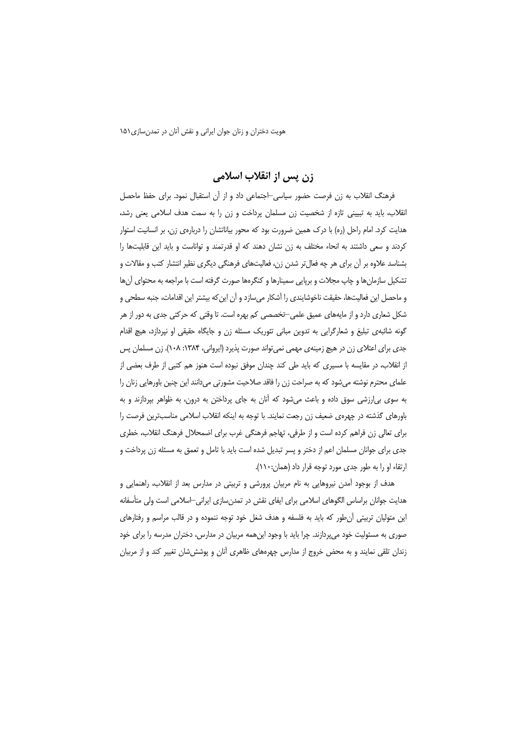## زن پس از انقلاب اسلامی

فرهنگ انقلاب به زن فرصت حضور سیاسی-اجتماعی داد و از آن استقبال نمود. برای حفظ ماحصل انقلاب، باید به تبیینی تازه از شخصیت زن مسلمان پرداخت و زن را به سمت هدف اسلامی یعنی رشد، هدایت کرد. امام راحل (ره) با درک همین ضرورت بود که محور بیاناتشان را دربارهی زن، بر انسانیت استوار کردند و سعی داشتند به انحاء مختلف به زن نشان دهند که او قدرتمند و تواناست و باید این قابلیتها را بشناسد علاوه بر آن برای هر چه فعال تر شدن زن، فعالیتهای فرهنگی دیگری نظیر انتشار کتب و مقالات و تشکیل سازمانها و چاپ مجلات و برپایی سمینارها و کنگرهها صورت گرفته است با مراجعه به محتوای آنها و ماحصل این فعالیتها، حقیقت ناخوشایندی را آشکار میسازد و آن این که بیشتر این اقدامات، جنبه سطحی و شکل شعاری دارد و از مایههای عمیق علمی—تخصصی کم بهره است. تا وقتی که حرکتی جدی به دور از هر گونه شائبهی تبلیغ و شعارگرایی به تدوین مبانی تئوریک مسئله زن و جایگاه حقیقی او نپردازد، هیچ اقدام جدی برای اعتلای زن در هیچ زمینهی مهمی نمی تواند صورت پذیرد (ایروانی، ۱۳۸۴: ۱۰۸). زن مسلمان پس از انقلاب، در مقایسه با مسیری که باید طی کند چندان موفق نبوده است هنوز هم کتبی از طرف بعضی از علمای محترم نوشته میشود که به صراحت زن را فاقد صلاحیت مشورتی میدانند این چنین باورهایی زنان را به سوی بی|رزشی سوق داده و باعث میشود که آنان به جای پرداختن به درون، به ظواهر بپردازند و به باورهای گذشته در چهرهی ضعیف زن رجعت نمایند. با توجه به اینکه انقلاب اسلامی مناسبترین فرصت را برای تعالی زن فراهم کرده است و از طرفی، تهاجم فرهنگی غرب برای اضمحلال فرهنگ انقلاب، خطری جدی برای جوانان مسلمان اعم از دختر و پسر تبدیل شده است باید با تامل و تعمق به مسئله زن پرداخت و ارتقاء او را به طور جدی مورد توجه قرار داد (همان:۱۱۰).

هدف از بوجود آمدن نیروهایی به نام مربیان پرورشی و تربیتی در مدارس بعد از انقلاب، راهنمایی و هدایت جوانان براساس الگوهای اسلامی برای ایفای نقش در تمدنِسازی ایرانی–اسلامی است ولی متأسفانه این متولیان تربیتی آن طور که باید به فلسفه و هدف شغل خود توجه ننموده و در قالب مراسم و رفتارهای صوری به مسئولیت خود میپردازند. چرا باید با وجود اینهمه مربیان در مدارس، دختران مدرسه را برای خود زندان تلقی نمایند و به محض خروج از مدارس چهرههای ظاهری آنان و پوشش شان تغییر کند و از مربیان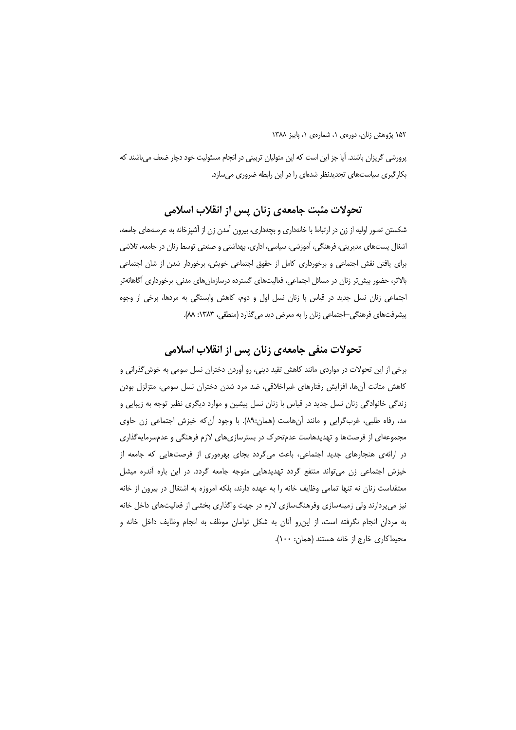پرورشی گریزان باشند. آیا جز این است که این متولیان تربیتی در انجام مسئولیت خود دچار ضعف می باشند که بکار گیری سیاستهای تجدیدنظر شدهای را در این رابطه ضروری می سازد.

### تحولات مثبت جامعهي زنان پس از انقلاب اسلامي

شکستن تصور اولیه از زن در ارتباط با خانهداری و بچهداری، بیرون آمدن زن از آشپزخانه به عرصههای جامعه، اشغال پستهای مدیریتی، فرهنگی، آموزشی، سیاسی، اداری، بهداشتی و صنعتی توسط زنان در جامعه، تلاشی برای یافتن نقش اجتماعی و برخورداری کامل از حقوق اجتماعی خویش، برخوردار شدن از شان اجتماعی بالاتر، حضور بیش تر زنان در مسائل اجتماعی، فعالیتهای گسترده درسازمانهای مدنی، برخورداری آگاهانهتر اجتماعی زنان نسل جدید در قیاس با زنان نسل اول و دوم، کاهش وابستگی به مردها، برخی از وجوه پیشرفتهای فرهنگی –اجتماعی زنان را به معرض دید می گذارد (منطقی، ۱۳۸۳: ۸۸).

### تحولات منفي جامعهي زنان پس از انقلاب اسلامي

برخی از این تحولات در مواردی مانند کاهش تقید دینی، رو آوردن دختران نسل سومی به خوش گذرانی و کاهش متانت آنها، افزایش رفتارهای غیراخلاقی، ضد مرد شدن دختران نسل سومی، متزلزل بودن زندگی خانوادگی زنان نسل جدید در قیاس با زنان نسل پیشین و موارد دیگری نظیر توجه به زیبایی و مد، رفاه طلبی، غربگرایی و مانند اّنهاست (همان:۸۹). با وجود اّن که خیزش اجتماعی زن حاوی مجموعهای از فرصتها و تهدیدهاست عدمتحرک در بسترسازیهای لازم فرهنگی و عدمسرمایهگذاری در ارائهی هنجارهای جدید اجتماعی، باعث میگردد بجای بهرهوری از فرصتهایی که جامعه از خیزش اجتماعی زن می تواند منتفع گردد تهدیدهایی متوجه جامعه گردد. در این باره آندره میشل معتقداست زنان نه تنها تمامی وظایف خانه را به عهده دارند، بلکه امروزه به اشتغال در بیرون از خانه نیز میپردازند ولی زمینهسازی وفرهنگسازی لازم در جهت واگذاری بخشی از فعالیتهای داخل خانه به مردان انجام نگرفته است، از این٫رو آنان به شکل توامان موظف به انجام وظایف داخل خانه و محيط كاري خارج از خانه هستند (همان: ١٠٠).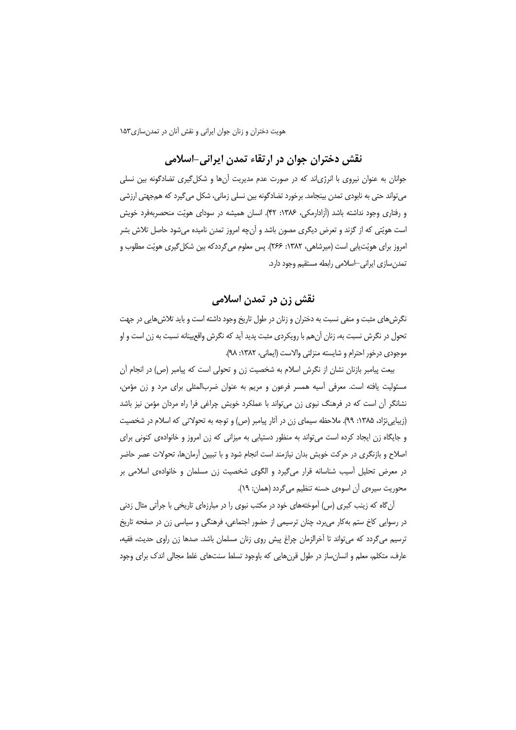# نقش دختران جوان در ارتقاء تمدن ايراني-اسلامي

جوانان به عنوان نیروی با انرژیاند که در صورت عدم مدیریت آنها و شکل گیری تضادگونه بین نسلی می تواند حتی به نابودی تمدن بینجامد. برخورد تضادگونه بین نسلی زمانی، شکل می گیرد که همجهتی ارزشی و رفتاری وجود نداشته باشد (آزادارمکی، ۱۳۸۶: ۴۲). انسان همیشه در سودای هویّت منحصربهفرد خویش است هويّتي كه از گزند و تعرض ديگري مصون باشد و آنچه امروز تمدن ناميده ميشود حاصل تلاش بشر امروز برای هویّتیابی است (میرشاهی، ۱۳۸۲: ۲۶۶). پس معلوم میگرددکه بین شکل گیری هویّت مطلوب و تمدن سازی ایرانی –اسلامی رابطه مستقیم وجود دارد.

### نقش زن در تمدن اسلامی

نگرش های مثبت و منفی نسبت به دختران و زنان در طول تاریخ وجود داشته است و باید تلاش هایی در جهت تحول در نگرش نسبت به، زنان آنهم با رویکردی مثبت پدید آید که نگرش واقعیینانه نسبت به زن است و او موجودي درخور احترام و شايسته منزلتي والاست (ايماني، ١٣٨٢: ٩٨).

بیعت پیامبر بازنان نشان از نگرش اسلام به شخصیت زن و تحولی است که پیامبر (ص) در انجام آن مسئولیت یافته است. معرفی اّسیه همسر فرعون و مریم به عنوان ضربالمثلی برای مرد و زن مؤمن، نشانگر آن است که در فرهنگ نبوی زن می تواند با عملکرد خویش چراغی فرا راه مردان مؤمن نیز باشد (زیبایینژاد، ۱۳۸۵: ۹۹). ملاحظه سیمای زن در آثار پیامبر (ص) و توجه به تحولاتی که اسلام در شخصیت و جایگاه زن ایجاد کرده است می تواند به منظور دستیابی به میزانی که زن امروز و خانوادهی کنونی برای اصلاح و بازنگری در حرکت خویش بدان نیازمند است انجام شود و با تبیین آرمانها، تحولات عصر حاضر در معرض تحلیل آسیب شناسانه قرار می گیرد و الگوی شخصیت زن مسلمان و خانوادهی اسلامی بر محوریت سیرهی آن اسوهی حسنه تنظیم می گردد (همان: ١٩).

آنگاه که زینب کبری (س) آموختههای خود در مکتب نبوی را در مبارزهای تاریخی با جرأتی مثال زدنی در رسوایی کاخ ستم بهکار می برد، چنان ترسیمی از حضور اجتماعی، فرهنگی و سیاسی زن در صفحه تاریخ ترسیم می گردد که می تواند تا آخرالزمان چراغ پیش روی زنان مسلمان باشد. صدها زن راوی حدیث، فقیه، عارف، متكلم، معلم و انسان ساز در طول قرن هایی كه باوجود تسلط سنتهای غلط مجالی اندک برای وجود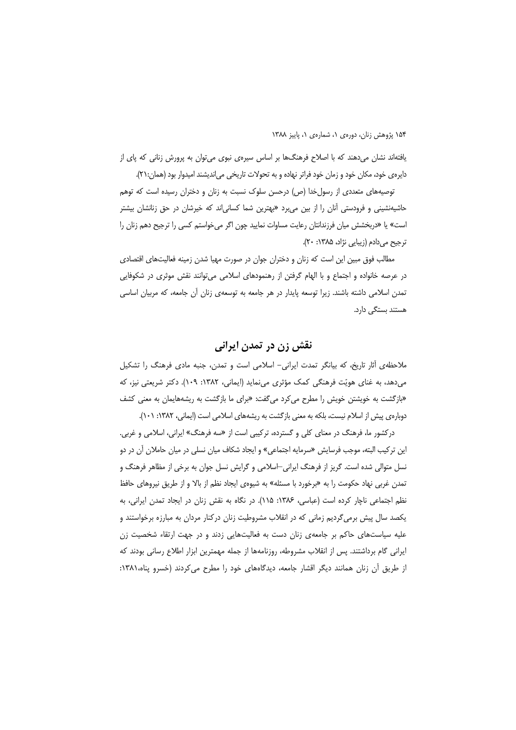یافتهاند نشان میدهند که با اصلاح فرهنگها بر اساس سپرهی نبوی می توان به پرورش زنانی که پای از دایره ی خود، مکان خود و زمان خود فراتر نهاده و به تحولات تاریخی می|ندیشند امیدوار بود (همان:۲۱).

توصیههای متعددی از رسول خدا (ص) درحسن سلوک نسبت به زنان و دختران رسیده است که توهم حاشیهنشینی و فرودستی آنان را از بین میبرد «بهترین شما کسانیاند که خیرشان در حق زنانشان بیشتر است» یا «دربخشش میان فرزندانتان رعایت مساوات نمایید چون اگر می خواستم کسی را ترجیح دهم زنان را ترجيح مي دادم (زيبايي نژاد، ۱۳۸۵: ۲۰).

مطالب فوق مبین این است که زنان و دختران جوان در صورت مهیا شدن زمینه فعالیتهای اقتصادی در عرصه خانواده و اجتماع و با الهام گرفتن از رهنمودهای اسلامی میتوانند نقش موثری در شکوفایی تمدن اسلامی داشته باشند. زیرا توسعه پایدار در هر جامعه به توسعهی زنان آن جامعه، که مربیان اساسی هستند بستگی دارد.

### نقش زن در تمدن ایرانی

ملاحظهی آثار تاریخ، که بیانگر تمدت ایرانی- اسلامی است و تمدن، جنبه مادی فرهنگ را تشکیل میدهد، به غنای هویّت فرهنگی کمک مؤثری مینماید (ایمانی، ۱۳۸۲: ۱۰۹). دکتر شریعتی نیز، که «بازگشت به خویشتن خویش را مطرح می کرد میگفت: «برای ما بازگشت به ریشههایمان به معنی کشف دوبارهی پیش از اسلام نیست، بلکه به معنی بازگشت به ریشههای اسلامی است (ایمانی، ۱۳۸۲: ۱۰۱).

درکشور ما، فرهنگ در معنای کلی و گسترده، ترکیبی است از «سه فرهنگ» ایرانی، اسلامی و غربی. این ترکیب البته، موجب فرسایش «سرمایه اجتماعی» و ایجاد شکاف میان نسلی در میان حاملان آن در دو نسل متوالی شده است. گریز از فرهنگ ایرانی-اسلامی و گرایش نسل جوان به برخی از مظاهر فرهنگ و تمدن غربی نهاد حکومت را به «برخورد با مسئله» به شیوهی ایجاد نظم از بالا و از طریق نیروهای حافظ نظم اجتماعی ناچار کرده است (عباسی، ۱۳۸۶: ۱۱۵). در نگاه به نقش زنان در ایجاد تمدن ایرانی، به یکصد سال پیش برمی گردیم زمانی که در انقلاب مشروطیت زنان درکنار مردان به مبارزه برخواستند و علیه سیاستهای حاکم بر جامعهی زنان دست به فعالیتهایی زدند و در جهت ارتقاء شخصیت زن ایرانی گام برداشتند. پس از انقلاب مشروطه، روزنامهها از جمله مهمترین ابزار اطلاع رسانی بودند که از طریق آن زنان همانند دیگر اقشار جامعه، دیدگاههای خود را مطرح می کردند (خسرو پناه،۱۳۸۱: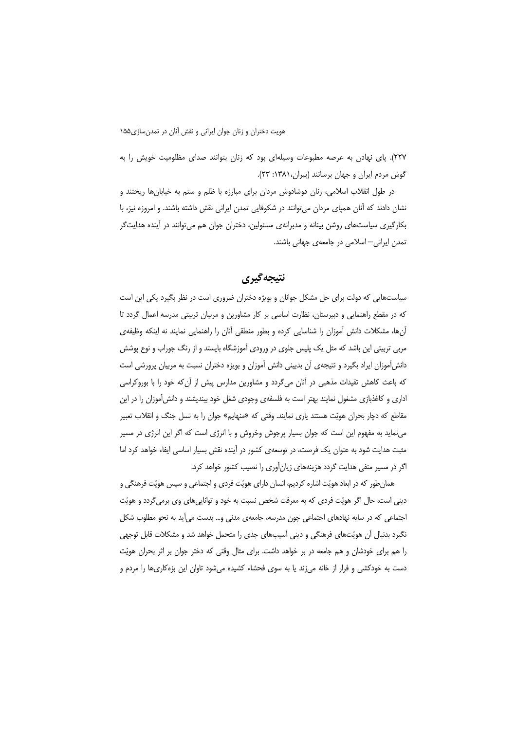٢٢٧). پای نهادن به عرصه مطبوعات وسیلهای بود که زنان بتوانند صدای مظلومیت خویش را به گوش مردم ایران و جهان برسانند (ببران، ۱۳۸۱: ۲۳).

در طول انقلاب اسلامی، زنان دوشادوش مردان برای مبارزه با ظلم و ستم به خیابان ها ریختند و نشان دادند که آنان همیای مردان می توانند در شکوفایی تمدن ایرانی نقش داشته باشند. و امروزه نیز، با بکارگیری سیاستهای روشن بینانه و مدبرانهی مسئولین، دختران جوان هم می توانند در آینده هدایت گر تمدن ایرانی–اسلامی در جامعهی جهانی باشند.

#### نتيجه گيري

سیاستهایی که دولت برای حل مشکل جوانان و بویژه دختران ضروری است در نظر بگیرد یکی این است که در مقطع راهنمایی و دبیرستان، نظارت اساسی بر کار مشاورین و مربیان تربیتی مدرسه اعمال گردد تا آنها، مشكلات دانش آموزان را شناسايي كرده و بطور منطقى آنان را راهنمايي نمايند نه اينكه وظيفهي مربی تربیتی این باشد که مثل یک پلیس جلوی در ورودی آموزشگاه بایستد و از رنگ جوراب و نوع پوشش دانش آموزان ایراد بگیرد و نتیجهی آن بدبینی دانش آموزان و بویزه دختران نسبت به مربیان پرورشی است که باعث کاهش تقیدات مذهبی در آنان میگردد و مشاورین مدارس پیش از آنکه خود را با بوروکراسی اداری و کاغذبازی مشغول نمایند بهتر است به فلسفهی وجودی شغل خود بیندیشند و دانش آموزان را در این مقاطع که دچار بحران هویّت هستند یاری نمایند. وقتی که «منهایم» جوان را به نسل جنگ و انقلاب تعبیر مینماید به مفهوم این است که جوان بسیار پرجوش وخروش و با انرژی است که اگر این انرژی در مسیر مثبت هدایت شود به عنوان یک فرصت، در توسعهی کشور در آینده نقش بسیار اساسی ایفاء خواهد کرد اما اگر در مسیر منفی هدایت گردد هزینههای زیانآوری را نصیب کشور خواهد کرد.

همان طور که در ابعاد هویّت اشاره کردیم، انسان دارای هویّت فردی و اجتماعی و سپس هویّت فرهنگی و دینی است، حال اگر هویّت فردی که به معرفت شخص نسبت به خود و تواناییهای وی برمیگردد و هویّت اجتماعی که در سایه نهادهای اجتماعی چون مدرسه، جامعهی مدنی و… بدست می آید به نحو مطلوب شکل نگیرد بدنبال آن هویّتهای فرهنگی و دینی آسیبهای جدی را متحمل خواهد شد و مشکلات قابل توجهی را هم برای خودشان و هم جامعه در بر خواهد داشت. برای مثال وقتی که دختر جوان بر اثر بحران هویّت دست به خودکشی و فرار از خانه می;ند یا به سوی فحشاء کشیده می،شود تاوان این بزهکاریها را مردم و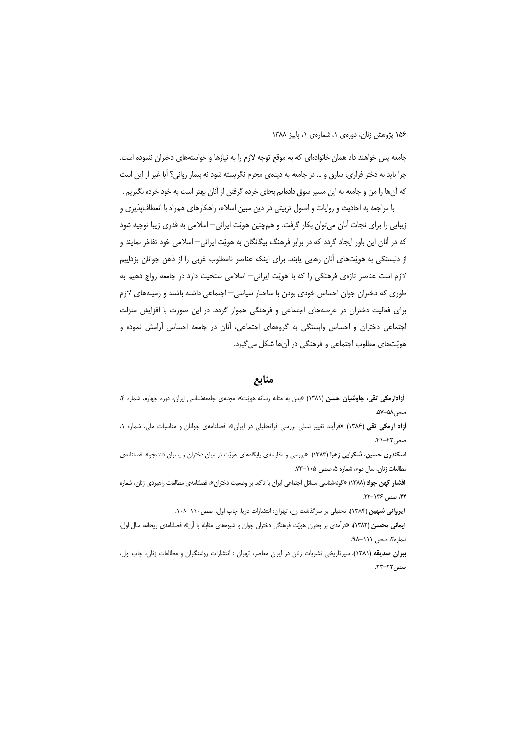جامعه پس خواهند داد همان خانوادهای که به موقع توجه لازم را به نیازها و خواستههای دختران ننموده است. چرا باید به دختر فراری، سارق و … در جامعه به دیدهی مجرم نگریسته شود نه بیمار روانی؟ آیا غیر از این است که آنها را من و جامعه به این مسیر سوق دادهایم بجای خرده گرفتن از آنان بهتر است به خود خرده بگیریم .

با مراجعه به احادیث و روایات و اصول تربیتی در دین مبین اسلام، راهکارهای همراه با انعطاف پذیری و زیبایی را برای نجات آنان می توان بکار گرفت. و همچنین هویّت ایرانی—اسلامی به قدری زیبا توجیه شود که در آنان این باور ایجاد گردد که در برابر فرهنگ بیگانگان به هویّت ایرانی—اسلامی خود تفاخر نمایند و از دلبستگی به هویّتهای آنان رهایی یابند. برای اینکه عناصر نامطلوب غربی را از ذهن جوانان بزداییم لازم است عناصر تازهی فرهنگی را که با هویّت ایرانی— اسلامی سنخیت دارد در جامعه رواج دهیم به طوری که دختران جوان احساس خودی بودن با ساختار سیاسی—اجتماعی داشته باشند و زمینههای لازم برای فعالیت دختران در عرصههای اجتماعی و فرهنگی هموار گردد. در این صورت با افزایش منزلت اجتماعی دختران و احساس وابستگی به گروههای اجتماعی، آنان در جامعه احساس آرامش نموده و هویّتهای مطلوب اجتماعی و فرهنگی در آنها شکل میگیرد.

#### منابع

آزادارمکی تقی، چاوشیان حسن (۱۳۸۱) «بدن به مثابه رسانه هویّت»، مجلهی جامعهشناسی ایران، دوره چهارم، شماره ۴، صص ۵۸–۵۷.

آزاد ارمکی تقی (۱۳۸۶) «فرآیند تغییر نسلی بررسی فراتحلیلی در ایران»، فصلنامهی جوانان و مناسبات ملی، شماره ۱، صص ۴۲–۴۱.

**اسکندری حسین، شکرایی زهرا (۱۳۸۳)**، «بررسی و مقایسهی پایگاههای هویّت در میان دختران و پسران دانشجو»، فصلنامهی مطالعات زنان، سال دوم، شماره ۵، صص ۱۰۵-۷۳.

ا**فشار کهن جواد** (۱۳۸۸) «گونهشناسی مسائل اجتماعی ایران با تاکید بر وضعیت دختران»، فصلنامهی مطالعات راهبردی زنان، شماره ۴۴، صص ۱۳۶–۲۳.

ایروانی شهین (۱۳۸۴)، تحلیلی بر سرگذشت زن، تهران: انتشارات دریا، چاپ اول، صص١١٠-١٠٨.

**ایمانی محسن (۱۳۸۲)**، «درآمدی بر بحران هویّت فرهنگی دختران جوان و شیوههای مقابله با آن»، فصلنامهی ریحانه، سال اول، شماره۲، صص ۱۱۱–۹۸.

ببران صدیقه (۱۳۸۱)، سیرتاریخی نشریات زنان در ایران معاصر، تهران : انتشارات روشنگران و مطالعات زنان، چاپ اول، صص ٢٢-٢٣.